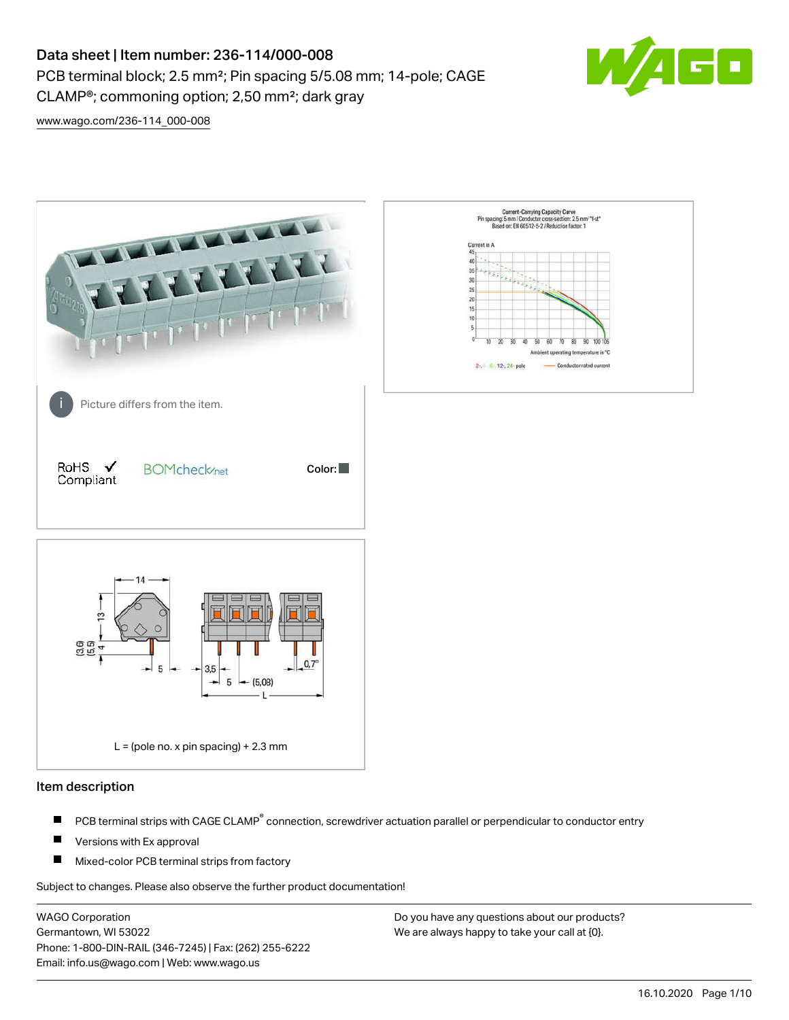# Data sheet | Item number: 236-114/000-008 PCB terminal block; 2.5 mm²; Pin spacing 5/5.08 mm; 14-pole; CAGE CLAMP®; commoning option; 2,50 mm²; dark gray



[www.wago.com/236-114\\_000-008](http://www.wago.com/236-114_000-008)



#### Item description

- PCB terminal strips with CAGE CLAMP<sup>®</sup> connection, screwdriver actuation parallel or perpendicular to conductor entry П
- П Versions with Ex approval
- П Mixed-color PCB terminal strips from factory

Subject to changes. Please also observe the further product documentation!

WAGO Corporation Germantown, WI 53022 Phone: 1-800-DIN-RAIL (346-7245) | Fax: (262) 255-6222 Email: info.us@wago.com | Web: www.wago.us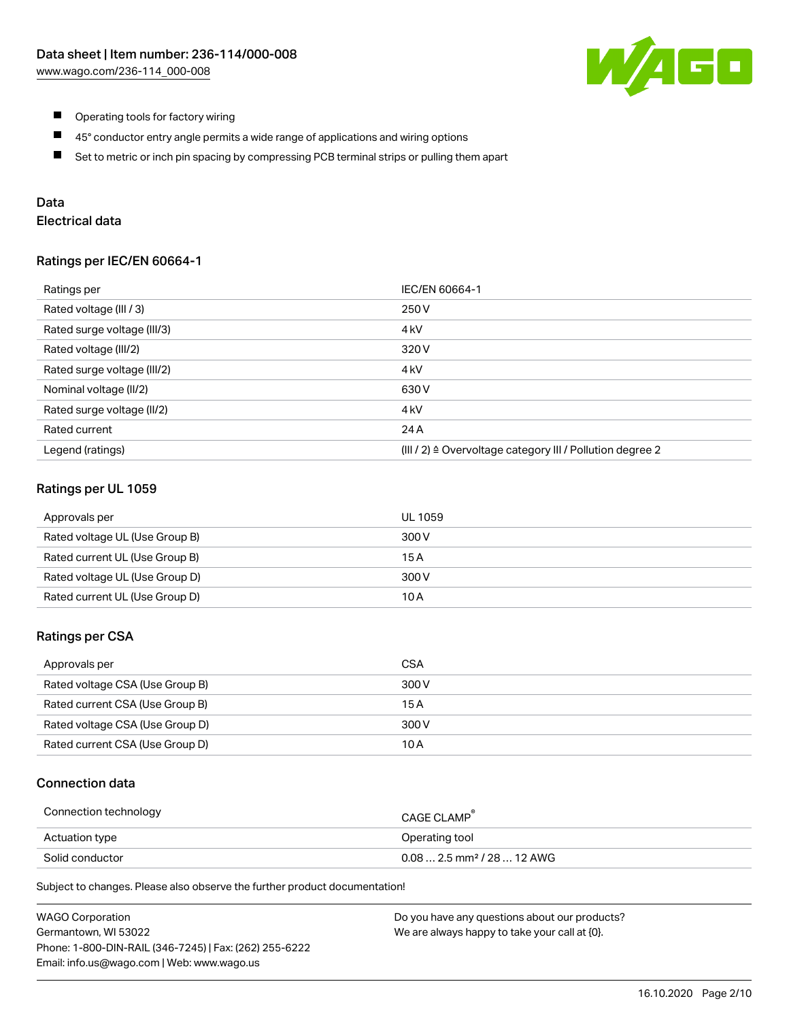

- $\blacksquare$ Operating tools for factory wiring
- $\blacksquare$ 45° conductor entry angle permits a wide range of applications and wiring options
- $\blacksquare$ Set to metric or inch pin spacing by compressing PCB terminal strips or pulling them apart

## Data

## Electrical data

### Ratings per IEC/EN 60664-1

| Ratings per                 | IEC/EN 60664-1                                                        |
|-----------------------------|-----------------------------------------------------------------------|
| Rated voltage (III / 3)     | 250 V                                                                 |
| Rated surge voltage (III/3) | 4 <sub>k</sub> V                                                      |
| Rated voltage (III/2)       | 320 V                                                                 |
| Rated surge voltage (III/2) | 4 <sub>kV</sub>                                                       |
| Nominal voltage (II/2)      | 630 V                                                                 |
| Rated surge voltage (II/2)  | 4 <sub>k</sub> V                                                      |
| Rated current               | 24 A                                                                  |
| Legend (ratings)            | $(III / 2)$ $\triangle$ Overvoltage category III / Pollution degree 2 |

## Ratings per UL 1059

| Approvals per                  | UL 1059 |
|--------------------------------|---------|
| Rated voltage UL (Use Group B) | 300 V   |
| Rated current UL (Use Group B) | 15 A    |
| Rated voltage UL (Use Group D) | 300 V   |
| Rated current UL (Use Group D) | 10 A    |

### Ratings per CSA

| Approvals per                   | CSA   |
|---------------------------------|-------|
| Rated voltage CSA (Use Group B) | 300 V |
| Rated current CSA (Use Group B) | 15 A  |
| Rated voltage CSA (Use Group D) | 300 V |
| Rated current CSA (Use Group D) | 10 A  |

## Connection data

| Connection technology | CAGE CLAMP                              |
|-----------------------|-----------------------------------------|
| Actuation type        | Operating tool                          |
| Solid conductor       | $0.08$ 2.5 mm <sup>2</sup> / 28  12 AWG |

Subject to changes. Please also observe the further product documentation!

| <b>WAGO Corporation</b>                                | Do you have any questions about our products? |
|--------------------------------------------------------|-----------------------------------------------|
| Germantown, WI 53022                                   | We are always happy to take your call at {0}. |
| Phone: 1-800-DIN-RAIL (346-7245)   Fax: (262) 255-6222 |                                               |
| Email: info.us@wago.com   Web: www.wago.us             |                                               |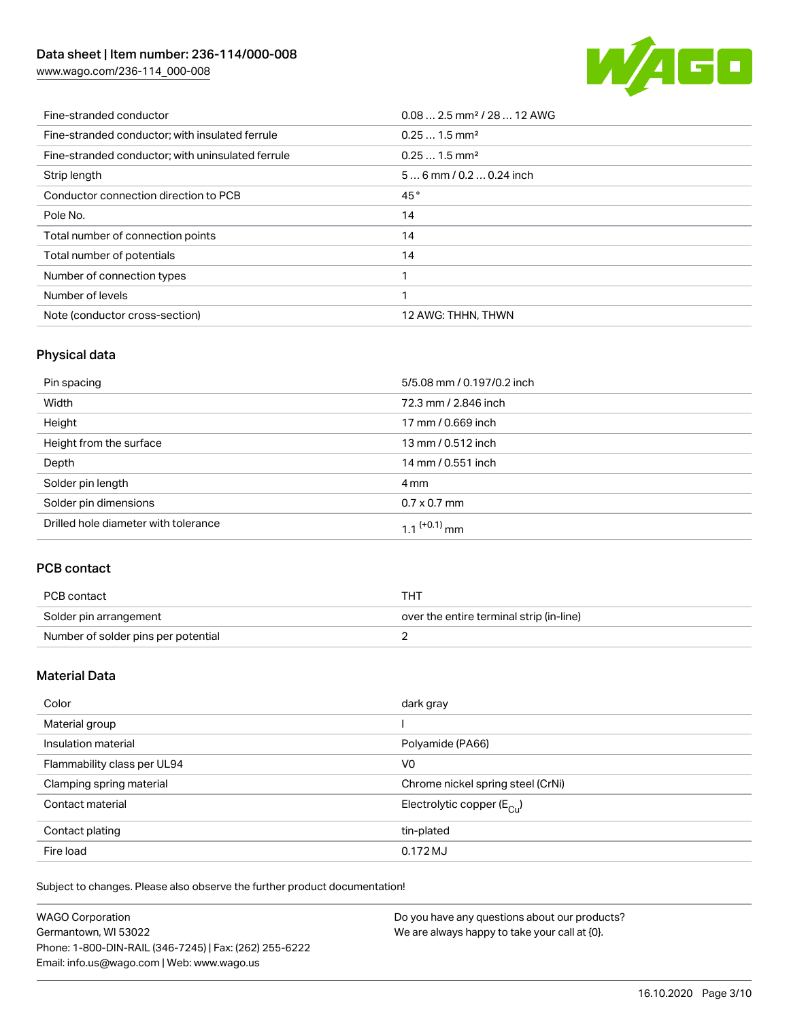## Data sheet | Item number: 236-114/000-008

[www.wago.com/236-114\\_000-008](http://www.wago.com/236-114_000-008)



| Fine-stranded conductor                           | $0.082.5$ mm <sup>2</sup> / 28  12 AWG |
|---------------------------------------------------|----------------------------------------|
| Fine-stranded conductor; with insulated ferrule   | $0.251.5$ mm <sup>2</sup>              |
| Fine-stranded conductor; with uninsulated ferrule | $0.251.5$ mm <sup>2</sup>              |
| Strip length                                      | $56$ mm / 0.2  0.24 inch               |
| Conductor connection direction to PCB             | 45°                                    |
| Pole No.                                          | 14                                     |
| Total number of connection points                 | 14                                     |
| Total number of potentials                        | 14                                     |
| Number of connection types                        |                                        |
| Number of levels                                  |                                        |
| Note (conductor cross-section)                    | 12 AWG: THHN, THWN                     |

## Physical data

| Pin spacing                          | 5/5.08 mm / 0.197/0.2 inch |
|--------------------------------------|----------------------------|
| Width                                | 72.3 mm / 2.846 inch       |
| Height                               | 17 mm / 0.669 inch         |
| Height from the surface              | 13 mm / 0.512 inch         |
| Depth                                | 14 mm / 0.551 inch         |
| Solder pin length                    | 4 mm                       |
| Solder pin dimensions                | $0.7 \times 0.7$ mm        |
| Drilled hole diameter with tolerance | $1.1$ <sup>(+0.1)</sup> mm |

## PCB contact

| PCB contact                         | THT                                      |
|-------------------------------------|------------------------------------------|
| Solder pin arrangement              | over the entire terminal strip (in-line) |
| Number of solder pins per potential |                                          |

## Material Data

| Color                       | dark gray                             |
|-----------------------------|---------------------------------------|
| Material group              |                                       |
| Insulation material         | Polyamide (PA66)                      |
| Flammability class per UL94 | V <sub>0</sub>                        |
| Clamping spring material    | Chrome nickel spring steel (CrNi)     |
| Contact material            | Electrolytic copper $(E_{\text{Cl}})$ |
| Contact plating             | tin-plated                            |
| Fire load                   | 0.172 MJ                              |

Subject to changes. Please also observe the further product documentation!

| <b>WAGO Corporation</b>                                | Do you have any questions about our products? |
|--------------------------------------------------------|-----------------------------------------------|
| Germantown, WI 53022                                   | We are always happy to take your call at {0}. |
| Phone: 1-800-DIN-RAIL (346-7245)   Fax: (262) 255-6222 |                                               |
| Email: info.us@wago.com   Web: www.wago.us             |                                               |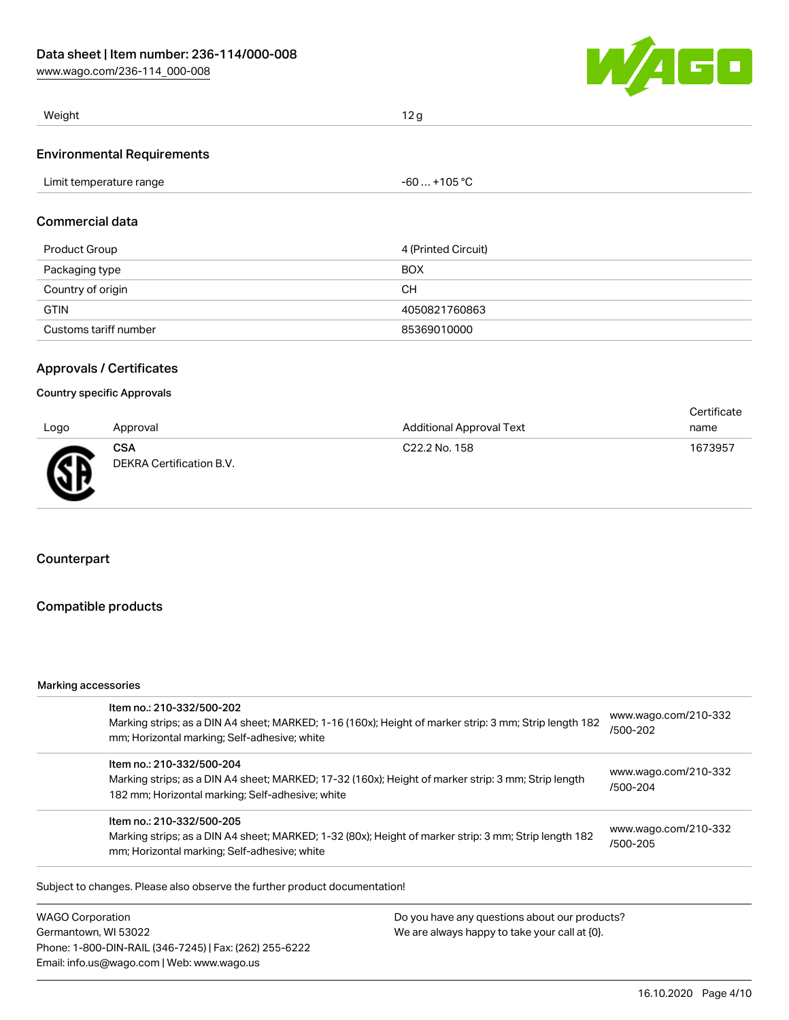[www.wago.com/236-114\\_000-008](http://www.wago.com/236-114_000-008)



| Weight                            | 12 <sub>q</sub> |
|-----------------------------------|-----------------|
| <b>Environmental Requirements</b> |                 |

| Commercial data      |                     |
|----------------------|---------------------|
| <b>Product Group</b> | 4 (Printed Circuit) |
| Packaging type       | <b>BOX</b>          |
| Country of origin    | CН                  |

Limit temperature range  $-60... +105$  °C

GTIN 4050821760863 Customs tariff number 85369010000

## Approvals / Certificates

#### Country specific Approvals

| Logo | Approval                               | <b>Additional Approval Text</b> | Certificate<br>name |
|------|----------------------------------------|---------------------------------|---------------------|
| Æ    | <b>CSA</b><br>DEKRA Certification B.V. | C <sub>22.2</sub> No. 158       | 1673957             |

## Counterpart

### Compatible products

#### Marking accessories

| Item no.: 210-332/500-202<br>Marking strips; as a DIN A4 sheet; MARKED; 1-16 (160x); Height of marker strip: 3 mm; Strip length 182<br>mm; Horizontal marking; Self-adhesive; white  | www.wago.com/210-332<br>/500-202 |
|--------------------------------------------------------------------------------------------------------------------------------------------------------------------------------------|----------------------------------|
| Item no.: 210-332/500-204<br>Marking strips; as a DIN A4 sheet; MARKED; 17-32 (160x); Height of marker strip: 3 mm; Strip length<br>182 mm; Horizontal marking; Self-adhesive; white | www.wago.com/210-332<br>/500-204 |
| Item no.: 210-332/500-205<br>Marking strips; as a DIN A4 sheet; MARKED; 1-32 (80x); Height of marker strip: 3 mm; Strip length 182<br>mm; Horizontal marking; Self-adhesive; white   | www.wago.com/210-332<br>/500-205 |

Subject to changes. Please also observe the further product documentation!

WAGO Corporation Germantown, WI 53022 Phone: 1-800-DIN-RAIL (346-7245) | Fax: (262) 255-6222 Email: info.us@wago.com | Web: www.wago.us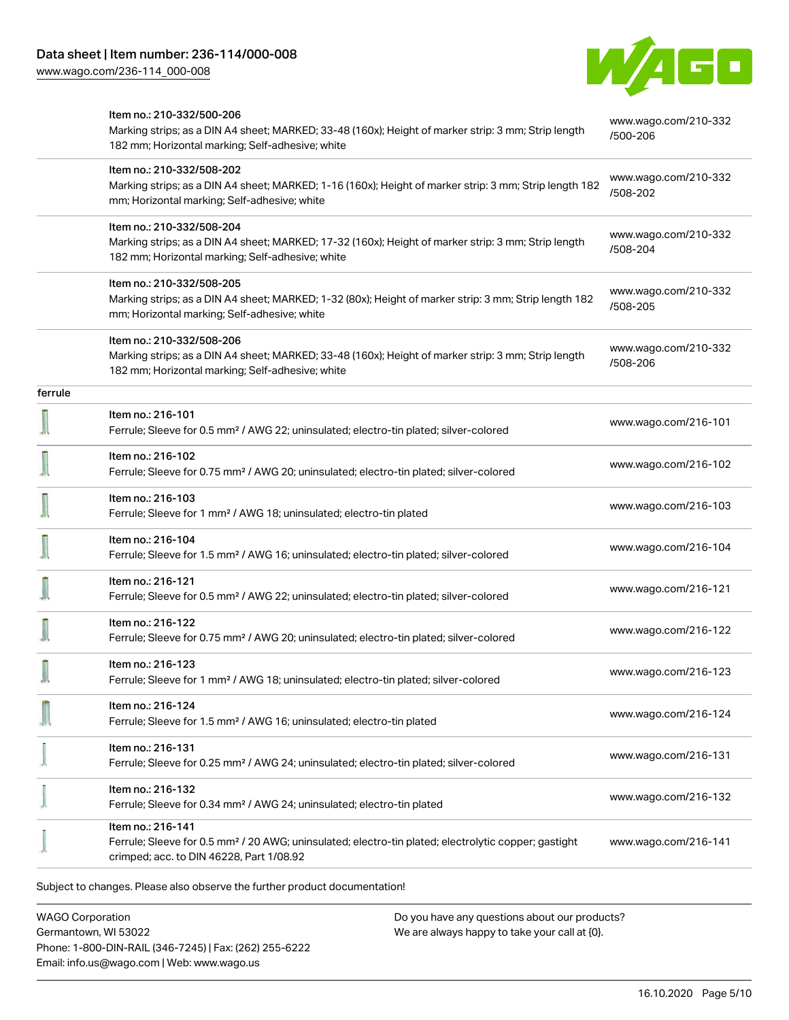

|         | Item no.: 210-332/500-206<br>Marking strips; as a DIN A4 sheet; MARKED; 33-48 (160x); Height of marker strip: 3 mm; Strip length<br>182 mm; Horizontal marking; Self-adhesive; white | www.wago.com/210-332<br>/500-206 |
|---------|--------------------------------------------------------------------------------------------------------------------------------------------------------------------------------------|----------------------------------|
|         | Item no.: 210-332/508-202<br>Marking strips; as a DIN A4 sheet; MARKED; 1-16 (160x); Height of marker strip: 3 mm; Strip length 182<br>mm; Horizontal marking; Self-adhesive; white  | www.wago.com/210-332<br>/508-202 |
|         | Item no.: 210-332/508-204<br>Marking strips; as a DIN A4 sheet; MARKED; 17-32 (160x); Height of marker strip: 3 mm; Strip length<br>182 mm; Horizontal marking; Self-adhesive; white | www.wago.com/210-332<br>/508-204 |
|         | Item no.: 210-332/508-205<br>Marking strips; as a DIN A4 sheet; MARKED; 1-32 (80x); Height of marker strip: 3 mm; Strip length 182<br>mm; Horizontal marking; Self-adhesive; white   | www.wago.com/210-332<br>/508-205 |
|         | Item no.: 210-332/508-206<br>Marking strips; as a DIN A4 sheet; MARKED; 33-48 (160x); Height of marker strip: 3 mm; Strip length<br>182 mm; Horizontal marking; Self-adhesive; white | www.wago.com/210-332<br>/508-206 |
| ferrule |                                                                                                                                                                                      |                                  |
|         | Item no.: 216-101<br>Ferrule; Sleeve for 0.5 mm <sup>2</sup> / AWG 22; uninsulated; electro-tin plated; silver-colored                                                               | www.wago.com/216-101             |
|         | Item no.: 216-102<br>Ferrule; Sleeve for 0.75 mm <sup>2</sup> / AWG 20; uninsulated; electro-tin plated; silver-colored                                                              | www.wago.com/216-102             |
|         | Item no.: 216-103<br>Ferrule; Sleeve for 1 mm <sup>2</sup> / AWG 18; uninsulated; electro-tin plated                                                                                 | www.wago.com/216-103             |
|         | Item no.: 216-104<br>Ferrule; Sleeve for 1.5 mm <sup>2</sup> / AWG 16; uninsulated; electro-tin plated; silver-colored                                                               | www.wago.com/216-104             |
|         | Item no.: 216-121<br>Ferrule; Sleeve for 0.5 mm <sup>2</sup> / AWG 22; uninsulated; electro-tin plated; silver-colored                                                               | www.wago.com/216-121             |
|         | Item no.: 216-122<br>Ferrule; Sleeve for 0.75 mm <sup>2</sup> / AWG 20; uninsulated; electro-tin plated; silver-colored                                                              | www.wago.com/216-122             |
|         | Item no.: 216-123<br>Ferrule; Sleeve for 1 mm <sup>2</sup> / AWG 18; uninsulated; electro-tin plated; silver-colored                                                                 | www.wago.com/216-123             |
|         | Item no.: 216-124<br>Ferrule; Sleeve for 1.5 mm <sup>2</sup> / AWG 16; uninsulated; electro-tin plated                                                                               | www.wago.com/216-124             |
|         | Item no.: 216-131<br>Ferrule; Sleeve for 0.25 mm <sup>2</sup> / AWG 24; uninsulated; electro-tin plated; silver-colored                                                              | www.wago.com/216-131             |
|         | Item no.: 216-132<br>Ferrule; Sleeve for 0.34 mm <sup>2</sup> / AWG 24; uninsulated; electro-tin plated                                                                              | www.wago.com/216-132             |
|         | Item no.: 216-141<br>Ferrule; Sleeve for 0.5 mm <sup>2</sup> / 20 AWG; uninsulated; electro-tin plated; electrolytic copper; gastight<br>crimped; acc. to DIN 46228, Part 1/08.92    | www.wago.com/216-141             |

WAGO Corporation Germantown, WI 53022 Phone: 1-800-DIN-RAIL (346-7245) | Fax: (262) 255-6222 Email: info.us@wago.com | Web: www.wago.us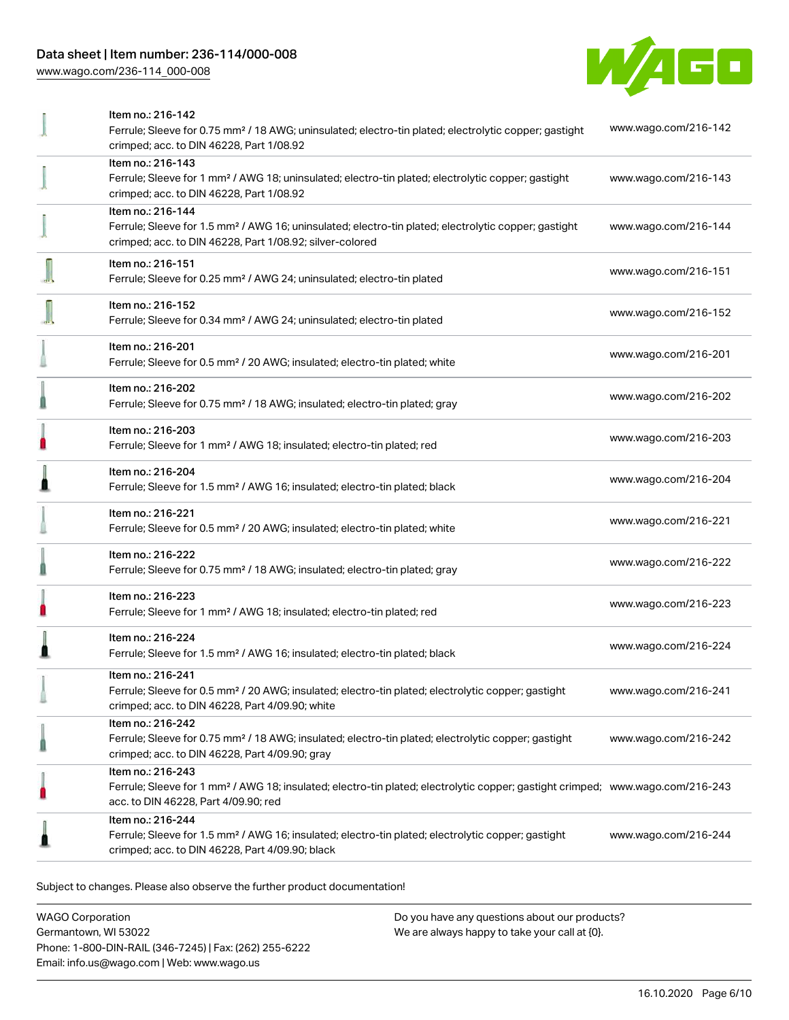## Data sheet | Item number: 236-114/000-008

[www.wago.com/236-114\\_000-008](http://www.wago.com/236-114_000-008)



| Item no.: 216-142                                                                                                                                                 | www.wago.com/216-142 |
|-------------------------------------------------------------------------------------------------------------------------------------------------------------------|----------------------|
| Ferrule; Sleeve for 0.75 mm <sup>2</sup> / 18 AWG; uninsulated; electro-tin plated; electrolytic copper; gastight<br>crimped; acc. to DIN 46228, Part 1/08.92     |                      |
| Item no.: 216-143                                                                                                                                                 |                      |
| Ferrule; Sleeve for 1 mm <sup>2</sup> / AWG 18; uninsulated; electro-tin plated; electrolytic copper; gastight                                                    | www.wago.com/216-143 |
| crimped; acc. to DIN 46228, Part 1/08.92<br>Item no.: 216-144                                                                                                     |                      |
| Ferrule; Sleeve for 1.5 mm <sup>2</sup> / AWG 16; uninsulated; electro-tin plated; electrolytic copper; gastight                                                  | www.wago.com/216-144 |
| crimped; acc. to DIN 46228, Part 1/08.92; silver-colored                                                                                                          |                      |
| Item no.: 216-151                                                                                                                                                 |                      |
| Ferrule; Sleeve for 0.25 mm <sup>2</sup> / AWG 24; uninsulated; electro-tin plated                                                                                | www.wago.com/216-151 |
| Item no.: 216-152                                                                                                                                                 |                      |
| Ferrule; Sleeve for 0.34 mm <sup>2</sup> / AWG 24; uninsulated; electro-tin plated                                                                                | www.wago.com/216-152 |
| Item no.: 216-201                                                                                                                                                 |                      |
| Ferrule; Sleeve for 0.5 mm <sup>2</sup> / 20 AWG; insulated; electro-tin plated; white                                                                            | www.wago.com/216-201 |
| Item no.: 216-202                                                                                                                                                 |                      |
| Ferrule; Sleeve for 0.75 mm <sup>2</sup> / 18 AWG; insulated; electro-tin plated; gray                                                                            | www.wago.com/216-202 |
| Item no.: 216-203                                                                                                                                                 |                      |
| Ferrule; Sleeve for 1 mm <sup>2</sup> / AWG 18; insulated; electro-tin plated; red                                                                                | www.wago.com/216-203 |
| Item no.: 216-204                                                                                                                                                 | www.wago.com/216-204 |
| Ferrule; Sleeve for 1.5 mm <sup>2</sup> / AWG 16; insulated; electro-tin plated; black                                                                            |                      |
| Item no.: 216-221                                                                                                                                                 | www.wago.com/216-221 |
| Ferrule; Sleeve for 0.5 mm <sup>2</sup> / 20 AWG; insulated; electro-tin plated; white                                                                            |                      |
| Item no.: 216-222                                                                                                                                                 | www.wago.com/216-222 |
| Ferrule; Sleeve for 0.75 mm <sup>2</sup> / 18 AWG; insulated; electro-tin plated; gray                                                                            |                      |
| Item no.: 216-223                                                                                                                                                 | www.wago.com/216-223 |
| Ferrule; Sleeve for 1 mm <sup>2</sup> / AWG 18; insulated; electro-tin plated; red                                                                                |                      |
| Item no.: 216-224                                                                                                                                                 | www.wago.com/216-224 |
| Ferrule; Sleeve for 1.5 mm <sup>2</sup> / AWG 16; insulated; electro-tin plated; black                                                                            |                      |
| Item no.: 216-241                                                                                                                                                 |                      |
| Ferrule; Sleeve for 0.5 mm <sup>2</sup> / 20 AWG; insulated; electro-tin plated; electrolytic copper; gastight<br>crimped; acc. to DIN 46228, Part 4/09.90; white | www.wago.com/216-241 |
| Item no.: 216-242                                                                                                                                                 |                      |
| Ferrule; Sleeve for 0.75 mm <sup>2</sup> / 18 AWG; insulated; electro-tin plated; electrolytic copper; gastight                                                   | www.wago.com/216-242 |
| crimped; acc. to DIN 46228, Part 4/09.90; gray                                                                                                                    |                      |
| Item no.: 216-243<br>Ferrule; Sleeve for 1 mm <sup>2</sup> / AWG 18; insulated; electro-tin plated; electrolytic copper; gastight crimped; www.wago.com/216-243   |                      |
| acc. to DIN 46228, Part 4/09.90; red                                                                                                                              |                      |
| Item no.: 216-244                                                                                                                                                 |                      |
| Ferrule; Sleeve for 1.5 mm <sup>2</sup> / AWG 16; insulated; electro-tin plated; electrolytic copper; gastight                                                    | www.wago.com/216-244 |
| crimped; acc. to DIN 46228, Part 4/09.90; black                                                                                                                   |                      |
|                                                                                                                                                                   |                      |

Subject to changes. Please also observe the further product documentation!

WAGO Corporation Germantown, WI 53022 Phone: 1-800-DIN-RAIL (346-7245) | Fax: (262) 255-6222 Email: info.us@wago.com | Web: www.wago.us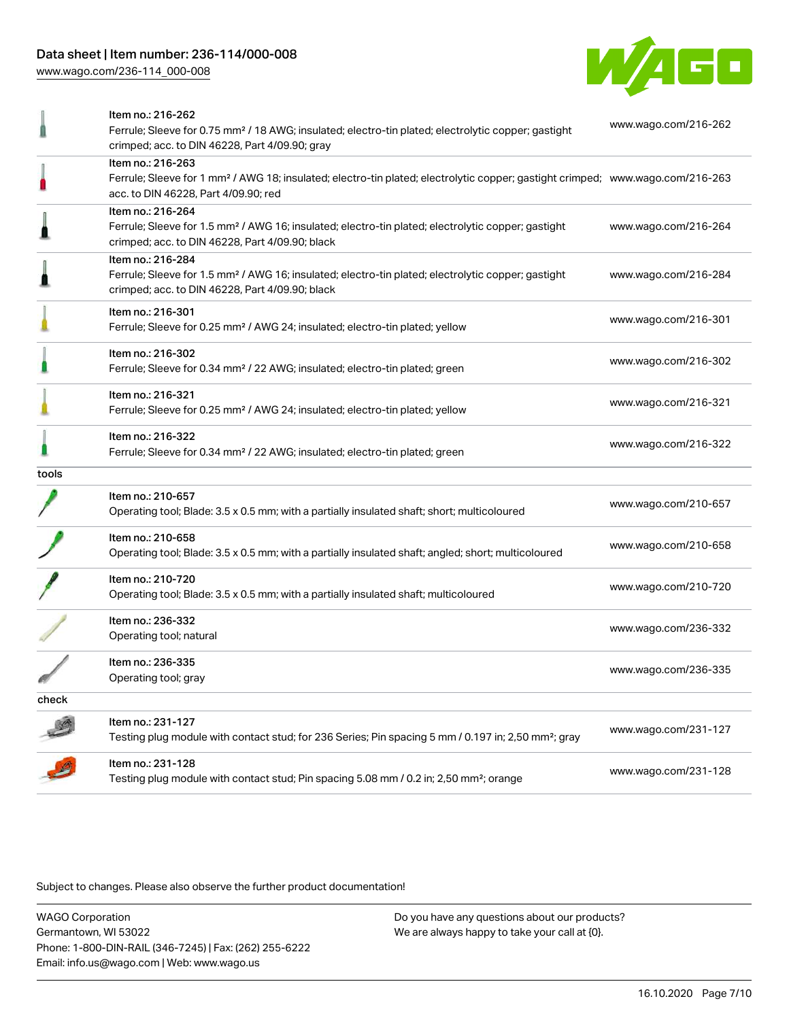[www.wago.com/236-114\\_000-008](http://www.wago.com/236-114_000-008)



|       | Item no.: 216-262                                                                                                                          |                      |
|-------|--------------------------------------------------------------------------------------------------------------------------------------------|----------------------|
|       | Ferrule; Sleeve for 0.75 mm <sup>2</sup> / 18 AWG; insulated; electro-tin plated; electrolytic copper; gastight                            | www.wago.com/216-262 |
|       | crimped; acc. to DIN 46228, Part 4/09.90; gray                                                                                             |                      |
|       | Item no.: 216-263                                                                                                                          |                      |
|       | Ferrule; Sleeve for 1 mm <sup>2</sup> / AWG 18; insulated; electro-tin plated; electrolytic copper; gastight crimped; www.wago.com/216-263 |                      |
|       | acc. to DIN 46228, Part 4/09.90; red                                                                                                       |                      |
|       | Item no.: 216-264                                                                                                                          |                      |
|       | Ferrule; Sleeve for 1.5 mm <sup>2</sup> / AWG 16; insulated; electro-tin plated; electrolytic copper; gastight                             | www.wago.com/216-264 |
|       | crimped; acc. to DIN 46228, Part 4/09.90; black                                                                                            |                      |
|       | Item no.: 216-284                                                                                                                          |                      |
|       | Ferrule; Sleeve for 1.5 mm <sup>2</sup> / AWG 16; insulated; electro-tin plated; electrolytic copper; gastight                             | www.wago.com/216-284 |
|       | crimped; acc. to DIN 46228, Part 4/09.90; black                                                                                            |                      |
|       | Item no.: 216-301                                                                                                                          |                      |
|       | Ferrule; Sleeve for 0.25 mm <sup>2</sup> / AWG 24; insulated; electro-tin plated; yellow                                                   | www.wago.com/216-301 |
|       |                                                                                                                                            |                      |
|       | Item no.: 216-302                                                                                                                          | www.wago.com/216-302 |
|       | Ferrule; Sleeve for 0.34 mm <sup>2</sup> / 22 AWG; insulated; electro-tin plated; green                                                    |                      |
|       | Item no.: 216-321                                                                                                                          |                      |
|       | Ferrule; Sleeve for 0.25 mm <sup>2</sup> / AWG 24; insulated; electro-tin plated; yellow                                                   | www.wago.com/216-321 |
|       |                                                                                                                                            |                      |
|       | Item no.: 216-322                                                                                                                          | www.wago.com/216-322 |
|       | Ferrule; Sleeve for 0.34 mm <sup>2</sup> / 22 AWG; insulated; electro-tin plated; green                                                    |                      |
| tools |                                                                                                                                            |                      |
|       | Item no.: 210-657                                                                                                                          |                      |
|       | Operating tool; Blade: 3.5 x 0.5 mm; with a partially insulated shaft; short; multicoloured                                                | www.wago.com/210-657 |
|       |                                                                                                                                            |                      |
|       | Item no.: 210-658                                                                                                                          | www.wago.com/210-658 |
|       | Operating tool; Blade: 3.5 x 0.5 mm; with a partially insulated shaft; angled; short; multicoloured                                        |                      |
|       | Item no.: 210-720                                                                                                                          |                      |
|       | Operating tool; Blade: 3.5 x 0.5 mm; with a partially insulated shaft; multicoloured                                                       | www.wago.com/210-720 |
|       |                                                                                                                                            |                      |
|       | Item no.: 236-332                                                                                                                          | www.wago.com/236-332 |
|       | Operating tool; natural                                                                                                                    |                      |
|       | Item no.: 236-335                                                                                                                          |                      |
|       | Operating tool; gray                                                                                                                       | www.wago.com/236-335 |
|       |                                                                                                                                            |                      |
| check |                                                                                                                                            |                      |
|       | Item no.: 231-127                                                                                                                          | www.wago.com/231-127 |
|       | Testing plug module with contact stud; for 236 Series; Pin spacing 5 mm / 0.197 in; 2,50 mm <sup>2</sup> ; gray                            |                      |
|       | Item no.: 231-128                                                                                                                          |                      |
|       | Testing plug module with contact stud; Pin spacing 5.08 mm / 0.2 in; 2,50 mm <sup>2</sup> ; orange                                         | www.wago.com/231-128 |
|       |                                                                                                                                            |                      |

Subject to changes. Please also observe the further product documentation!

WAGO Corporation Germantown, WI 53022 Phone: 1-800-DIN-RAIL (346-7245) | Fax: (262) 255-6222 Email: info.us@wago.com | Web: www.wago.us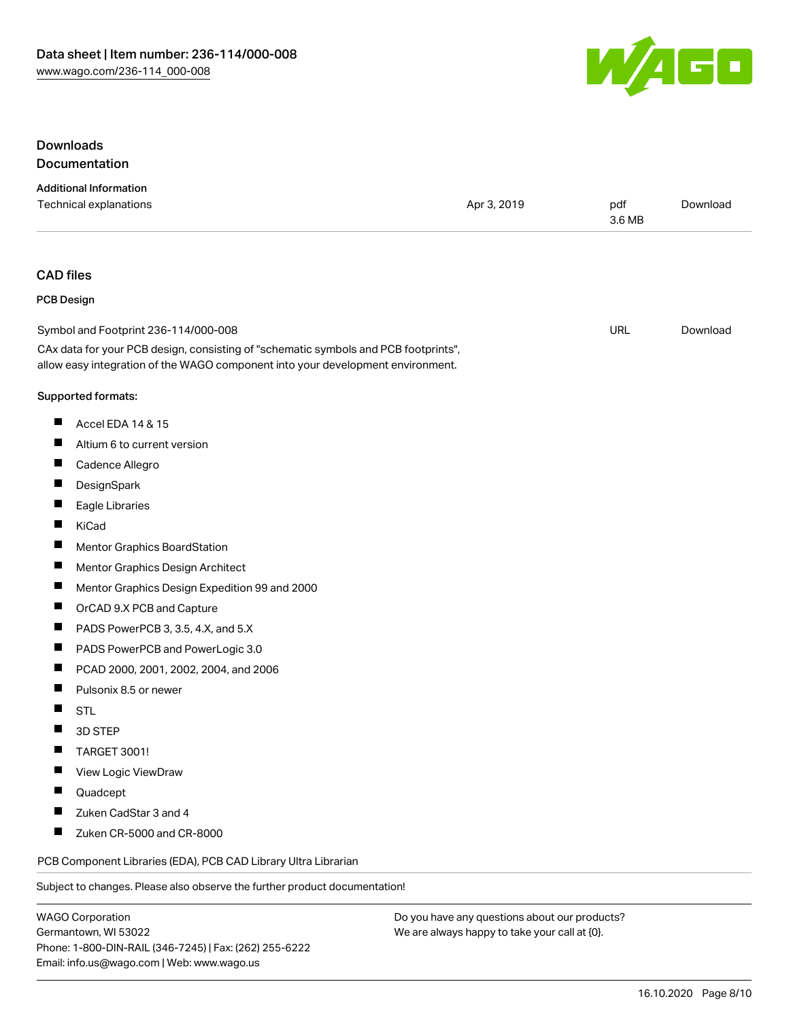

#### **Downloads** Documentation

#### Additional Information Technical explanations and political explanations and political explanations and political explanations and political explanations and political explanations and political explanations and political explanations and politi 3.6 MB [Download](https://www.wago.com/us/d/1435602)

#### CAD files

#### PCB Design

| Symbol and Footprint 236-114/000-008                                                | URL | Download |
|-------------------------------------------------------------------------------------|-----|----------|
| CAx data for your PCB design, consisting of "schematic symbols and PCB footprints", |     |          |

#### Supported formats:

- $\blacksquare$ Accel EDA 14 & 15
- $\blacksquare$ Altium 6 to current version
- $\blacksquare$ Cadence Allegro
- $\blacksquare$ **DesignSpark**
- $\blacksquare$ Eagle Libraries
- $\blacksquare$ KiCad
- $\blacksquare$ Mentor Graphics BoardStation
- $\blacksquare$ Mentor Graphics Design Architect
- $\blacksquare$ Mentor Graphics Design Expedition 99 and 2000

allow easy integration of the WAGO component into your development environment.

- $\blacksquare$ OrCAD 9.X PCB and Capture
- $\blacksquare$ PADS PowerPCB 3, 3.5, 4.X, and 5.X
- П PADS PowerPCB and PowerLogic 3.0
- П PCAD 2000, 2001, 2002, 2004, and 2006
- $\blacksquare$ Pulsonix 8.5 or newer
- $\blacksquare$ STL
- $\blacksquare$ 3D STEP
- П TARGET 3001!
- П View Logic ViewDraw
- $\blacksquare$ Quadcept
- $\blacksquare$ Zuken CadStar 3 and 4
- $\blacksquare$ Zuken CR-5000 and CR-8000

PCB Component Libraries (EDA), PCB CAD Library Ultra Librarian

Subject to changes. Please also observe the further product documentation!

WAGO Corporation Germantown, WI 53022 Phone: 1-800-DIN-RAIL (346-7245) | Fax: (262) 255-6222 Email: info.us@wago.com | Web: www.wago.us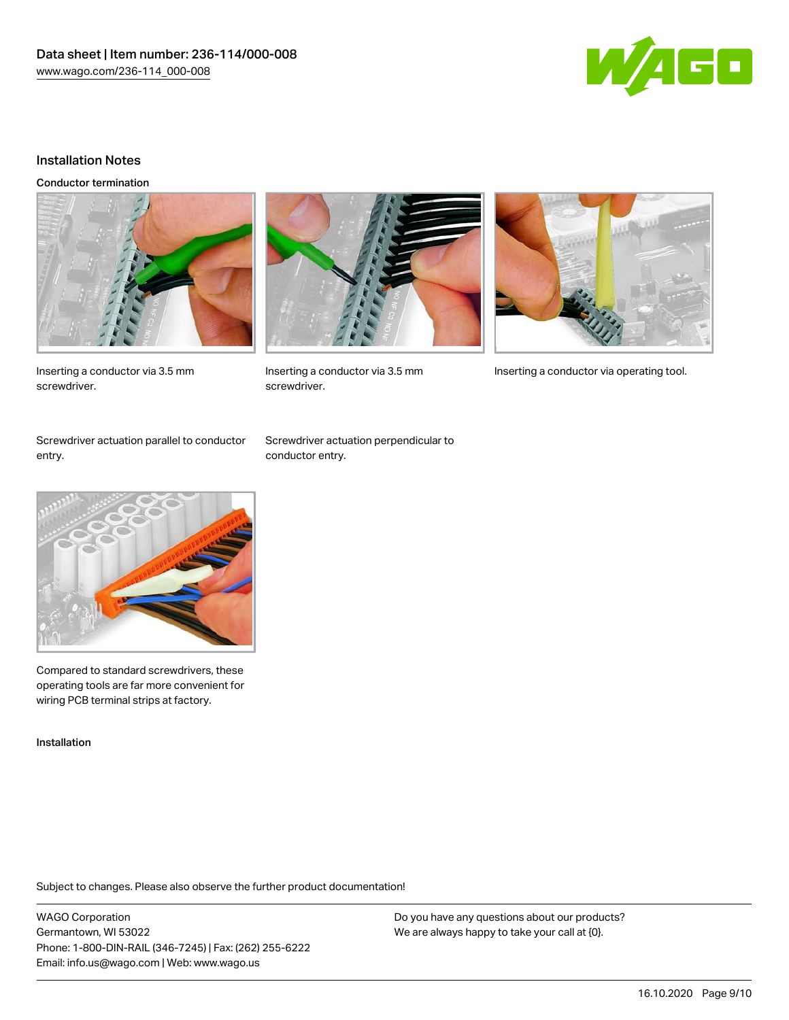

#### Installation Notes

Conductor termination





Inserting a conductor via 3.5 mm Inserting a conductor via operating tool.

Inserting a conductor via 3.5 mm screwdriver.

Screwdriver actuation parallel to conductor

Screwdriver actuation perpendicular to conductor entry.

screwdriver.



Compared to standard screwdrivers, these operating tools are far more convenient for wiring PCB terminal strips at factory.

Installation

entry.

Subject to changes. Please also observe the further product documentation!

WAGO Corporation Germantown, WI 53022 Phone: 1-800-DIN-RAIL (346-7245) | Fax: (262) 255-6222 Email: info.us@wago.com | Web: www.wago.us